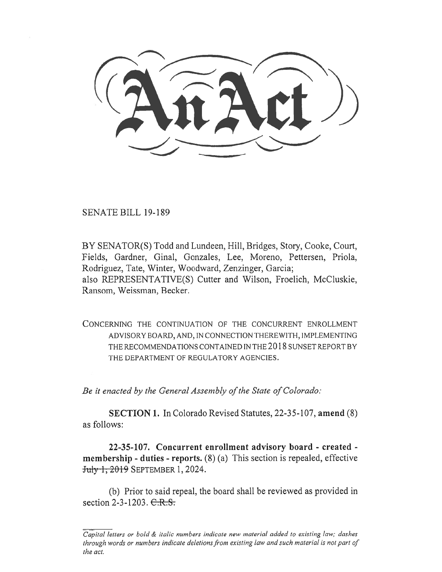SENATE BILL 19-189

BY SENATOR(S) Todd and Lundeen, Hill, Bridges, Story, Cooke, Court, Fields, Gardner, Ginal, Gonzales, Lee, Moreno, Pettersen, Priola, Rodriguez, Tate, Winter, Woodward, Zenzinger, Garcia; also REPRESENTATIVE(S) Cutter and Wilson, Froelich, McCluskie, Ransom, Weissman, Becker.

CONCERNING THE CONTINUATION OF THE CONCURRENT ENROLLMENT ADVISORY BOARD, AND, IN CONNECTION THEREWITH, IMPLEMENTING THE RECOMMENDATIONS CONTAINED IN THE 2018 SUNSET REPORT BY THE DEPARTMENT OF REGULATORY AGENCIES.

*Be it enacted by the General Assembly of the State of Colorado:* 

**SECTION 1.** In Colorado Revised Statutes, 22-35-107, **amend** (8) as follows:

**22-35-107. Concurrent enrollment advisory board - created membership - duties - reports.** (8) (a) This section is repealed, effective July 1, 2019 SEPTEMBER 1, 2024.

(b) Prior to said repeal, the board shall be reviewed as provided in section 2-3-1203.  $C.R.S.$ 

*Capital letters or bold & italic numbers indicate new material added to existing law; dashes through words or numbers indicate deletions from existing law and such material is not part of the act.*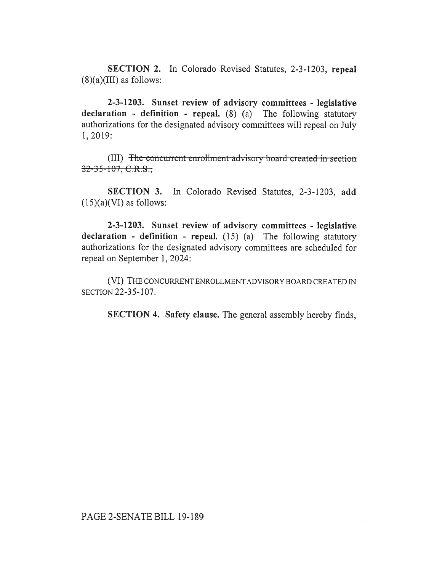**SECTION 2.** In Colorado Revised Statutes, 2-3-1203, **repeal**   $(8)(a)(III)$  as follows:

**2-3-1203. Sunset review of advisory committees - legislative declaration - definition - repeal.** (8) (a) The following statutory authorizations for the designated advisory committees will repeal on July 1, 2019:

(III) The concurrent enrollment advisory board created in section 22-35-107, C.R.S.;

**SECTION 3.** In Colorado Revised Statutes, 2-3-1203, **add**   $(15)(a)(VI)$  as follows:

**2-3-1203. Sunset review of advisory committees - legislative declaration - definition - repeal.** (15) (a) The following statutory authorizations for the designated advisory committees are scheduled for repeal on September 1, 2024:

(VI) THE CONCURRENT ENROLLMENT ADVISORY BOARD CREATED IN SECTION 22-35-107.

**SECTION 4. Safety clause.** The general assembly hereby finds,